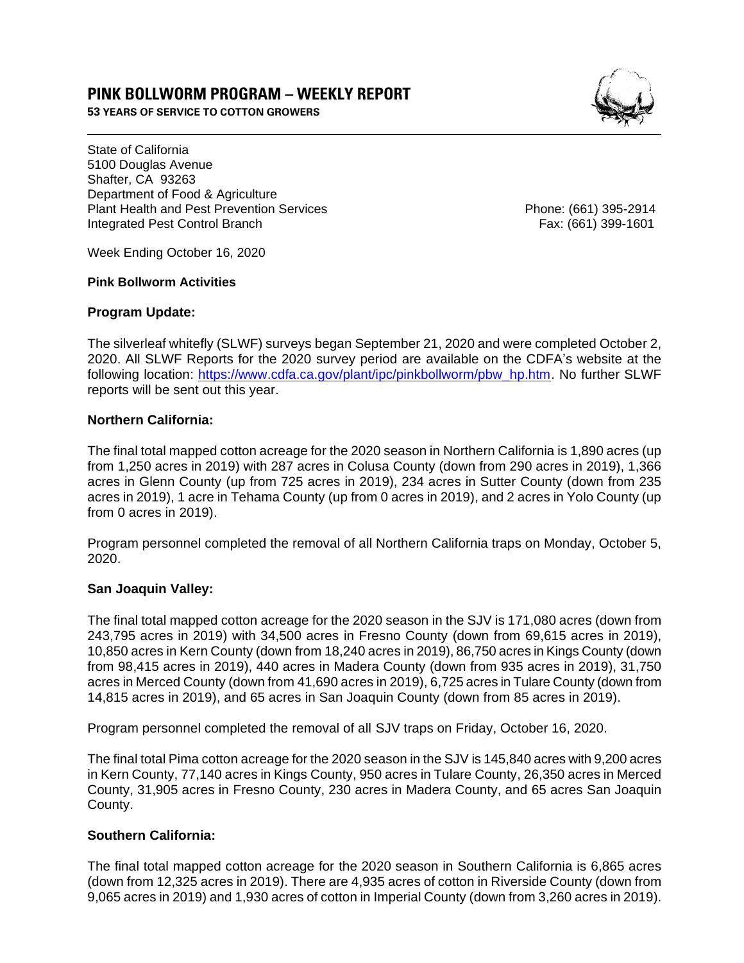# **PINK BOLLWORM PROGRAM – WEEKLY REPORT**

**53 YEARS OF SERVICE TO COTTON GROWERS** 



State of California 5100 Douglas Avenue Shafter, CA 93263 Department of Food & Agriculture Plant Health and Pest Prevention Services **Phone: (661)** 395-2914 Integrated Pest Control Branch Fax: (661) 399-1601

Week Ending October 16, 2020

#### **Pink Bollworm Activities**

### **Program Update:**

The silverleaf whitefly (SLWF) surveys began September 21, 2020 and were completed October 2, 2020. All SLWF Reports for the 2020 survey period are available on the CDFA's website at the following location: [https://www.cdfa.ca.gov/plant/ipc/pinkbollworm/pbw\\_hp.htm.](https://www.cdfa.ca.gov/plant/ipc/pinkbollworm/pbw_hp.htm) No further SLWF reports will be sent out this year.

### **Northern California:**

The final total mapped cotton acreage for the 2020 season in Northern California is 1,890 acres (up from 1,250 acres in 2019) with 287 acres in Colusa County (down from 290 acres in 2019), 1,366 acres in Glenn County (up from 725 acres in 2019), 234 acres in Sutter County (down from 235 acres in 2019), 1 acre in Tehama County (up from 0 acres in 2019), and 2 acres in Yolo County (up from 0 acres in 2019).

Program personnel completed the removal of all Northern California traps on Monday, October 5, 2020.

### **San Joaquin Valley:**

The final total mapped cotton acreage for the 2020 season in the SJV is 171,080 acres (down from 243,795 acres in 2019) with 34,500 acres in Fresno County (down from 69,615 acres in 2019), 10,850 acres in Kern County (down from 18,240 acres in 2019), 86,750 acres in Kings County (down from 98,415 acres in 2019), 440 acres in Madera County (down from 935 acres in 2019), 31,750 acres in Merced County (down from 41,690 acres in 2019), 6,725 acres in Tulare County (down from 14,815 acres in 2019), and 65 acres in San Joaquin County (down from 85 acres in 2019).

Program personnel completed the removal of all SJV traps on Friday, October 16, 2020.

The final total Pima cotton acreage for the 2020 season in the SJV is 145,840 acres with 9,200 acres in Kern County, 77,140 acres in Kings County, 950 acres in Tulare County, 26,350 acres in Merced County, 31,905 acres in Fresno County, 230 acres in Madera County, and 65 acres San Joaquin County.

## **Southern California:**

The final total mapped cotton acreage for the 2020 season in Southern California is 6,865 acres (down from 12,325 acres in 2019). There are 4,935 acres of cotton in Riverside County (down from 9,065 acres in 2019) and 1,930 acres of cotton in Imperial County (down from 3,260 acres in 2019).